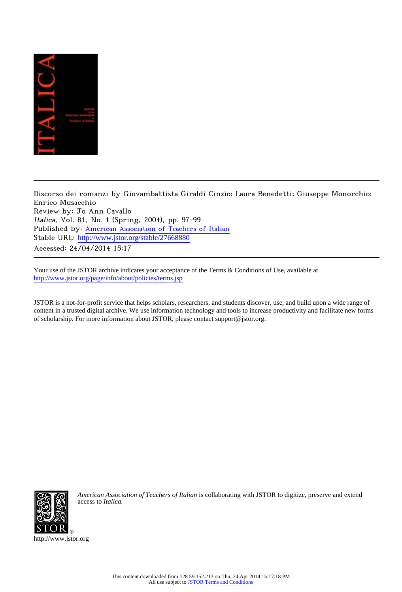

Discorso dei romanzi by Giovambattista Giraldi Cinzio; Laura Benedetti; Giuseppe Monorchio; Enrico Musacchio Review by: Jo Ann Cavallo Italica, Vol. 81, No. 1 (Spring, 2004), pp. 97-99 Published by: [American Association of Teachers of Italian](http://www.jstor.org/action/showPublisher?publisherCode=aati) Stable URL: http://www.jstor.org/stable/27668880 Accessed: 24/04/2014 15:17

Your use of the JSTOR archive indicates your acceptance of the Terms & Conditions of Use, available at <http://www.jstor.org/page/info/about/policies/terms.jsp>

JSTOR is a not-for-profit service that helps scholars, researchers, and students discover, use, and build upon a wide range of content in a trusted digital archive. We use information technology and tools to increase productivity and facilitate new forms of scholarship. For more information about JSTOR, please contact support@jstor.org.



*American Association of Teachers of Italian* is collaborating with JSTOR to digitize, preserve and extend access to *Italica.*

http://www.jstor.org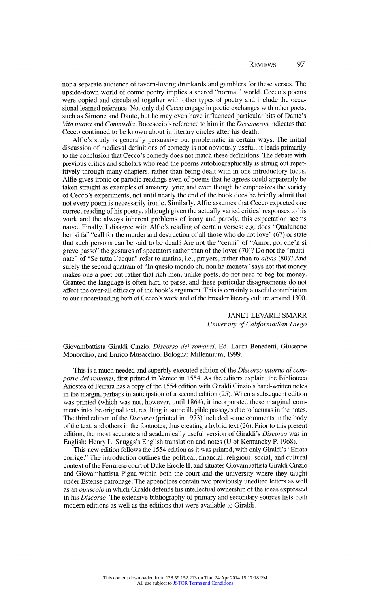**nor a separate audience of tavern-loving drunkards and gamblers for these verses. The upside-down world of comic poetry implies a shared "normal" world. Cecco's poems**  were copied and circulated together with other types of poetry and include the occasional learned reference. Not only did Cecco engage in poetic exchanges with other poets, **sional learned reference. Not only did Ceceo engage in poetic exchanges with other poets,**  such as Simone and Dante, but he may even have influenced particular bits of Dante's **State Vita nuova and Commedia. Boccaccio's reference to him in the Decameron indicates that Ceceo continued to be known about in literary circles after his death.** 

**Alfie's study is generally persuasive but problematic in certain ways. The initial discussion of medieval definitions of comedy is not obviously useful; it leads primarily to the conclusion that Cecco's comedy does not match these definitions. The debate with previous critics and scholars who read the poems autobiographically is strung out repet itively through many chapters, rather than being dealt with in one introductory locus. Alfie gives ironic or parodie readings even of poems that he agrees could apparently be taken straight as examples of amatory lyric; and even though he emphasizes the variety**  not every poem is necessarily ironic. Similarly, Alfie assumes that Cecco expected one **not every poem is necessarily ironic. Similarly, Alfie assumes that Cecco expected on correct reading of his poetry, although given the actually varied critical responses to his work and the always inherent problems of irony and parody, this expectation seems naive. Finally, I disagree with Alfie's reading of certain verses: e.g. does "Qualunque ben si fa" "call for the murder and destruction of all those who do not love" (67) or state**  that such persons can be said to be dead? Are not the "cenni" of "Amor, poi che'n si greve passo" the gestures of spectators rather than of the lover (70)? Do not the "maitigreve passo" the gestures of spectators rather than of the lover (70)? Do not the "main" nate "of "Se tutta I acqua" refer to matins, i.e., prayers, rather than to *albas* (80*)*. And **surely the second quatrain of "In questo mondo chi non ha moneta" says not that money makes one a poet but rather that rich men, unlike poets, do not need to beg for money. Granted the language is often hard to parse, and these particular disagreements do not affect the over-all efficacy of the book's argument. This is certainly a useful contribution to our understanding both of Cecco's work and of the broader literary culture around 1300.** 

> **JANET LEVARIE SMARR University of California/San Diego**

**Giovambattista Giraldi Cinzio. Discorso dei romanzi. Ed. Laura Benedetti, Giuseppe Monorchio, and Enrico Musacchio. Bologna: Millennium, 1999.** 

**This is a much needed and superbly executed edition of the Discorso intorno al com porre dei romanzi, first printed in Venice in 1554. As the editors explain, the Biblioteca Ariostea of Ferrara has a copy of the 1554 edition with Giraldi Cinzio's hand-written notes in the margin, perhaps in anticipation of a second edition (25). When a subsequent edition**  was printed (which was not, however, until 1864), it incorporated these marginal com**ments into the original text, resulting in some illegible passages due to lacunas in the notes. The third edition of the Discorso (printed in 1973) included some comments in the body of the text, and others in the footnotes, thus creating a hybrid text (26). Prior to this present edition, the most accurate and academically useful version of Giraldi's Discorso was in English: Henry L. Snuggs's English translation and notes (U of Kentuncky P, 1968).** 

**This new edition follows the 1554 edition as it was printed, with only Giraldi's "Errata corrige." The introduction outlines the political, financial, religious, social, and cultural context of the Ferrarese court of Duke Ercole II, and situates Giovambattista Giraldi Cinzio and Giovambattista Pigna within both the court and the university where they taught**  under Estense patronage. The appendices contain two previously unedited letters as well **as an opuscolo in which Giraldi defends his intellectual ownership of the ideas expressed in his Discorso. The extensive bibliography of primary and secondary sources lists both modern editions as well as the editions that were available to Giraldi.**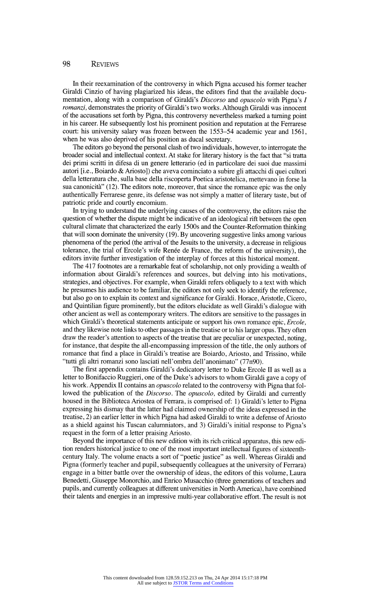## **98 Reviews**

In their reexamination of the controversy in which Pigna accused his former teach Giraldi Cinzio of having plagiarized his ideas, the editors find that the available documentation of the available documents are controlled to the control of the control of the control of the control of the control of the **mentation, along with a comparison of Giraldi's Discorso and opuscolo with Pigna's / romanzi, demonstrates the priority of Giraldi's two works. Although Giraldi was innocent of the accusations set forth by Pigna, this controversy nevertheless marked a turning point in his career. He subsequently lost his prominent position and reputation at the Ferrarese court: his university salary was frozen between the 1553-54 academic year and 1561, when he was also deprived of his position as ducal secretary.** 

**The editors go beyond the personal clash of two individuals, however, to interrogate the broader social and intellectual context. At stake for literary history is the fact that "si tratta dei primi scritti in difesa di un genere letterario (ed in particolare dei suoi due massimi**  autori [i.e., Boiardo & Ariosto]) che aveva cominciato a subire gli attacchi di quei cultori della letteratura che, sulla base della riscoperta Poetica aristotelica, mettevano in forse la sua canonicità" (12). The editors note, moreover, that since the romance epic was the only **authentically Ferrarese genre, its defense was not simply a matter of literary taste, but of patriotic pride and courtly encomium.** 

**In trying to understand the underlying causes of the controversy, the editors raise the question of whether the dispute might be indicative of an ideological rift between the open cultural climate that characterized the early 1500s and the Counter-Reformation thinking that will soon dominate the university (19). By uncovering suggestive links among various phenomena of the period (the arrival of the Jesuits to the university, a decrease in religious**  tolerance, the trial of Ercole's wife Renee de France, the reform of the university), the  $\epsilon$ **editors invite further investigation of the interplay of forces at this historical moment.** 

The 417 footnotes are a remarkable feat of scholarship, not only providing a wealth of information about Giraldi's references and sources, but delving into his motivations. **information about Giraldi's references and sources, but delving into his motivations, strategies, and objectives. For example, when Giraldi refers obliquely to a text with which he presumes his audience to be familiar, the editors not only seek to identify the reference, but also go on to explain its context and significance for Giraldi. Horace, Aristotle, Cicero, and Quintilian figure prominently, but the editors elucidate as well Giraldi's dialogue with other ancient as well as contemporary writers. The editors are sensitive to the passages in which Giraldi's theoretical statements anticipate or support his own romance epic, Ercole, and they likewise note links to other passages in the treatise or to his larger opus. They often draw the reader's attention to aspects of the treatise that are peculiar or unexpected, noting,**  for instance, that despite the all-encompassing impression of the title, the only authors of **romance that find a place in Giraldi's treatise are Boiardo, Ariosto, and Trissino, where "tutti gli altri romanzi sono lasciati nell'ombra dell'anonimato" (77n90).** 

**The first appendix contains Giraldi's dedicatory letter to Duke Ercole II as well as a letter to Bonifaccio Ruggieri, one of the Duke's advisors to whom Giraldi gave a copy of**  his work. Appendix II contains an *opuscolo* related to the controversy with Pigna that fol**lowed the publication of the Discorso. The opuscolo, edited by Giraldi and currently housed in the Biblioteca Ariostea of Ferrara, is comprised of: 1) Giraldi's letter to Pigna expressing his dismay that the latter had claimed ownership of the ideas expressed in the treatise, 2) an earlier letter in which Pigna had asked Giraldi to write a defense of Ariosto as a shield against his Tuscan calumniators, and 3) Giraldi's initial response to Pigna's request in the form of a letter praising Ariosto.** 

Beyond the importance of this new edition with its rich critical apparatus, this new edition renders historical justice to one of the most important intellectual figures of sixteenth**century Italy. The volume enacts a sort of "poetic justice" as well. Whereas Giraldi and Pigna (formerly teacher and pupil, subsequently colleagues at the university of Ferrara) engage in a bitter battle over the ownership of ideas, the editors of this volume, Laura Benedetti, Giuseppe Monorchio, and Enrico Musacchio (three generations of teachers and pupils, and currently colleagues at different universities in North America), have combined their talents and energies in an impressive multi-year collaborative effort. The result is not**